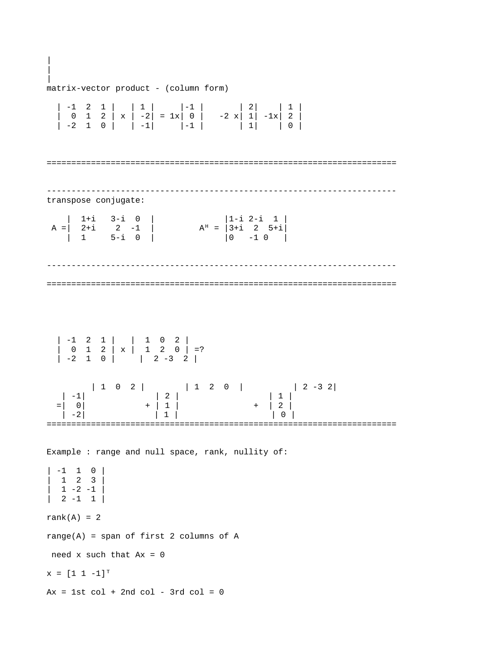| matrix-vector product - (column form) | -1 2 1 | | 1 | |-1 | | 2| | 1 | | 0 1 2 | x | -2| = 1x| 0 | -2 x| 1| -1x| 2 | | -2 1 0 | | -1| |-1 | | 1| | 0 | ======================================================================= ---------------------------------------------------------------------- transpose conjugate:  $\begin{array}{ccccccccc}\n1+{\rm i} & 3-{\rm i} & 0 & | & & | & 1-{\rm i} & 2-{\rm i} & 1 & | & \\
2+{\rm i} & 2 & -1 & | & & & A^{\rm H} = & |3+{\rm i} & 2 & 5+{\rm i} & \\
1 & 5-{\rm i} & 0 & | & & & |0 & -1 & 0 & | &\n\end{array}$  $A = | 2+i | 2 -1 | 4<sup>H</sup> = |3+i | 2 5+i|$  | 1 5-i 0 | |0 -1 0 | ----------------------------------------------------------------------- ======================================================================= | -1 2 1 | | 1 0 2 | | 0 1 2 | x | 1 2 0 | =? | -2 1 0 | | 2 -3 2 | | 1 0 2 | | 1 2 0 | | 2 -3 2|  $|\cdot 1|$   $|\cdot 2|$   $|1|$  $= | 0 | + | 1 | + | 2 |$  $| -2|$   $| 1 |$   $| 0 |$ ======================================================================= Example : range and null space, rank, nullity of: | -1 1 0 | | 1 2 3 |  $1 - 2 - 1$  $\begin{vmatrix} 2 & -1 & 1 \end{vmatrix}$ rank $(A) = 2$  $range(A) = span of first 2 columns of A$ need  $x$  such that  $Ax = 0$  $X = [1 1 -1]^{T}$  $Ax = 1st col + 2nd col - 3rd col = 0$ 

| |